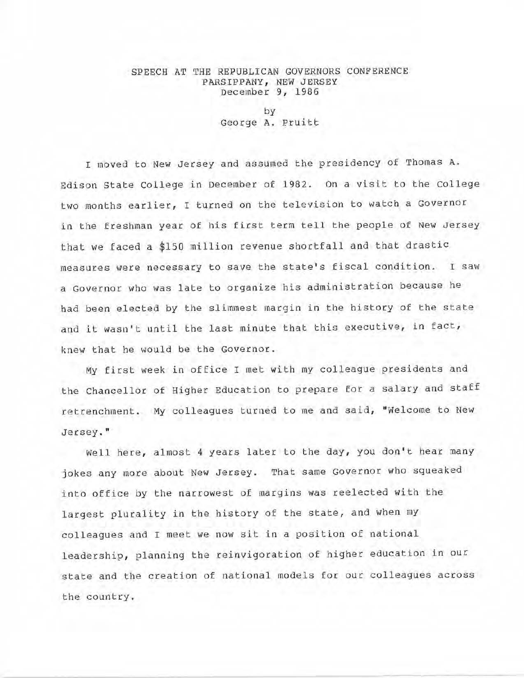## SPEECH AT THE REPUBLICAN GOVERNORS CONFERENCE PARSIPPANY, NEW JERSEY December 9, 1986

by George A. Pruitt

I moved to New Jersey and assumed the presidency of Thomas A. Edison State College in December of 1982. On a visit to the college two months earlier, I turned on the television to watch a Governor in the freshman year of his first term tell the people of New Jersey that we faced a \$150 million revenue shortfall and that drastic measures were necessary to save the state's fiscal condition. I saw a Governor who was late to organize his administration because he had been electea by the slimmest margin in the history of the state and it wasn't until the last minute that this executive, in fact, knew that he would be the Governor .

My first week in office I met with my colleague presidents and the chancellor of Higher Education to prepare for a salary and staff retrenchment. My colleagues turned to me and said, "Welcome to New Jersey. "

Well here, almost 4 years later to the day, you don't hear many jokes any more about New Jersey. That same Governor who squeaked into office by the narrowest of margins was reelected with the largest plurality in the history of the state, and when my colleagues and I meet we now sit in a position of national leadership, planning the reinvigoration of higher education in our state and the creation of national models for our colleagues across the country.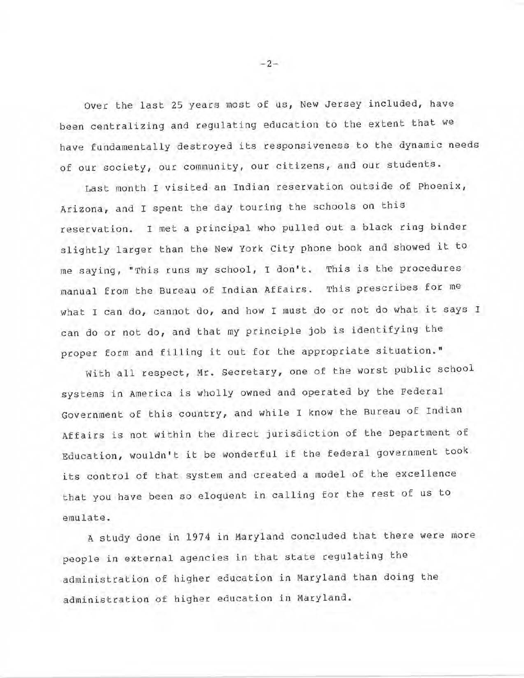over the last 25 years most of us, New Jersey included, have been centralizing and regulating education to the extent that we have fundamentally destroyed its responsiveness to the dynamic needs of our society, our community, our citizens, and our students.

Last month I visited an Indian reservation outside of Phoenix, Arizona, and I spent the day touring the schools on this reservation. I met a principal who pulled out a black ring binder slightly larger than the New York City phone book and showed it to me saying, "This runs my school, I don't. This is the procedures manual from the Bureau of Indian Affairs. This prescribes for me what I can do, cannot do, and how I must do or not do what it says I can do or not do, and that my principle job is identifying the proper form and filling it out £or the appropriate situation."

With all respect, Mr. secretary, one of the worst public school systems in America is wholly owned and operated by the Federal Government of this country, and while I know the Bureau of Indian Affairs is not within the direct jurisdiction of the Department of Education, wouldn't it be wonderful if the federal government took its control of that system and created a model of the excellence that you have been so eloguent in calling for the rest of us to emulate.

A study done in 1974 in Maryland concluded that there were more people in external agencies in that state regulating the administration of higher education in Maryland than doing the administration of higher education in Maryland.

 $-2-$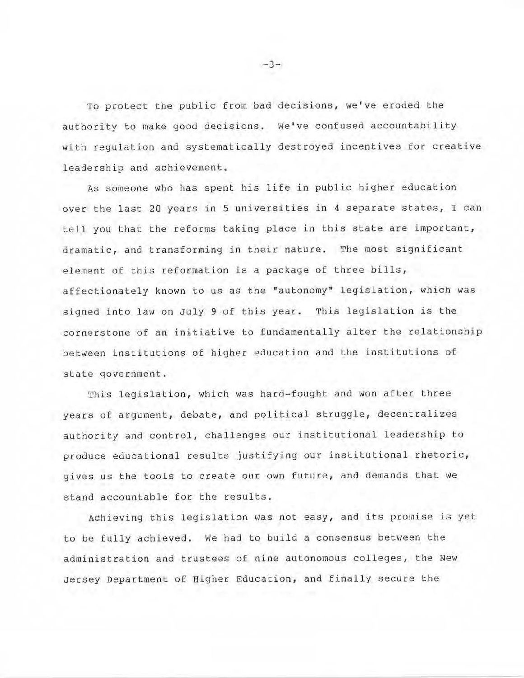To protect the public from bad decisions, we've eroded the authority to make good decisions. We've confused accountability with regulation and systematically destroyed incentives for creative leadership and achievement.

As someone who has spent his life in public higher education over the last 20 years in 5 universities in 4 separate states, I can tell you that the reforms taking place in this state are important, dramatic, and transforming in their nature. The most significant element of this reformation is a package of three bills, affectionately known to us as the "autonomy" legislation, which was signed into law on July 9 of this year. This legislation is the cornerstone of an initiative to fundamentally alter the relationship between institutions of higher education and the institutions of state government.

This legislation, which was hard-fought and won after three years of argument, debate, and political struggle, decentralizes authority and control, challenges our institutional leadership to produce educational results justifying our institutional rhetoric, gives us the tools to create our own future, and demands that we stand accountable for the results.

Achieving this legislation was not easy, and its promise is yet to be fully achieved. We had to build a consensus between the administration and trustees of nine autonomous colleges, the New Jersey Department of Higher Education, and finally secure the

 $-3-$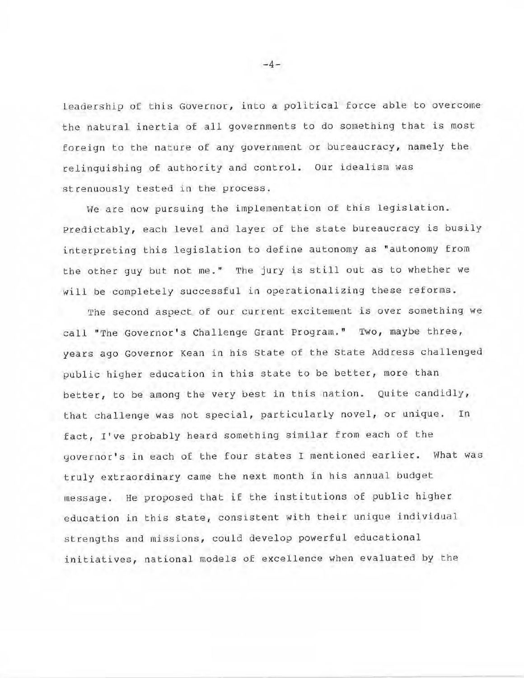leaderghip of this Governor, into a political force able to overcome the natural inertia of all governments to do something that is most foreign to the nature of any government or bureaucracy, namely the relinquishing of authority and control. our idealism was strenuously tested in the process.

We are now pursuing the implementation of this legislation. Predictably, each level and layer of the state bureaucracy is busily interpreting this legislation to define autonomy as "autonomy from the other guy but not me. " The jury is still out as to whether we will be completely successful in operationalizing these reforms.

The second aspect of our current excitement is over something we call "The Governor's Challenge Grant Program." Two, maybe three, years ago Governor Kean in his State of the State Address challenged public higher education in this state to be better, more than better, to be among the very best in this nation. Quite candidly, that challenge was not special, particularly novel, or unique. In fact, I've probably heard something similar from each of the governor's in each of the four states I mentioned earlier. What was truly extraordinary came the next month in his annual budget message. He proposed that if the institutions of public higher education in this state, consistent with their unique individual strengths and missions, could develop powerful educational initiatives, national models of excellence when evaluated by the

 $-4-$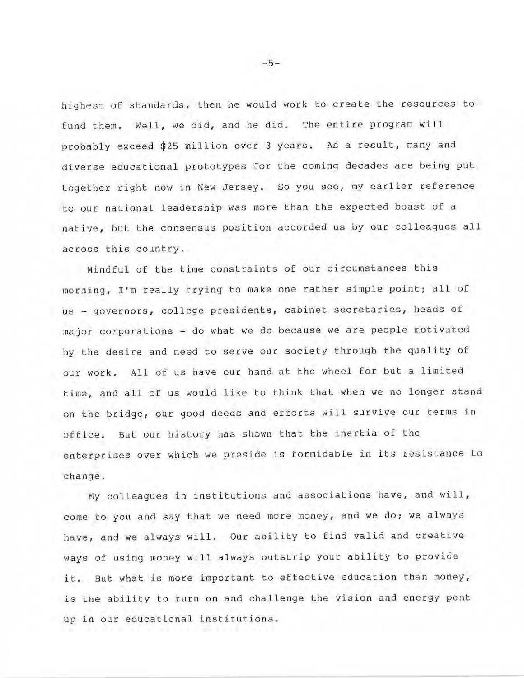highest of standards, then he would work to create the resources to fund them. Well, we did, and he did. The entire program will probably exceed \$25 million over 3 years. As a result, many and diverse educational prototypes for the coming decades are being put together right now in New Jersey. So you see, my earlier reference to our national leadership was more than the expected boast of a native, but the consensus position accorded us by our colleagues all across this country.

Mindful of the time constraints of our circumstances this morning, I'm really trying to make one rather simple point; all of us - governors, college presidents, cabinet secretaries, heads of major corporations - do what we do because we are people motivated by the desire and need to serve our society through the quality of our work. All of us have our hand at the wheel for but a limited time, and all of us would like to think that when we no longer stand on the bridge, our good deeds and efforts will survive our terms in office. But our history has shown that the inertia of the enterprises over which we preside is formidable in its resistance to change.

My colleagues in institutions and associations have, and will, come to you and say that we need more money, and we do; we always have, and we always will. Our ability to find valid and creative ways of using money will always outstrip your ability to provide it. But what is more important to effective education than money, is the ability to turn on and challenge the vision and energy pent up in our educational institutions.

-5-